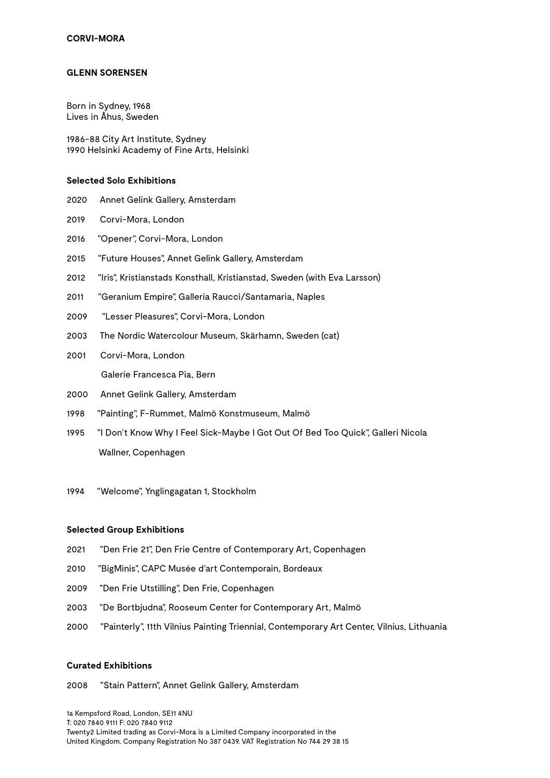### **GLENN SORENSEN**

Born in Sydney, 1968 Lives in Åhus, Sweden

1986-88 City Art Institute, Sydney 1990 Helsinki Academy of Fine Arts, Helsinki

# **Selected Solo Exhibitions**

- 2020 Annet Gelink Gallery, Amsterdam
- 2019 Corvi-Mora, London
- 2016 "Opener", Corvi-Mora, London
- 2015 "Future Houses", Annet Gelink Gallery, Amsterdam
- 2012 "Iris", Kristianstads Konsthall, Kristianstad, Sweden (with Eva Larsson)
- 2011 "Geranium Empire", Galleria Raucci/Santamaria, Naples
- 2009 "Lesser Pleasures", Corvi-Mora, London
- 2003 The Nordic Watercolour Museum, Skärhamn, Sweden (cat)
- 2001 Corvi-Mora, London

Galerie Francesca Pia, Bern

- 2000 Annet Gelink Gallery, Amsterdam
- 1998 "Painting", F-Rummet, Malmö Konstmuseum, Malmö
- 1995 "I Don't Know Why I Feel Sick-Maybe I Got Out Of Bed Too Quick", Galleri Nicola Wallner, Copenhagen
- 1994 "Welcome", Ynglingagatan 1, Stockholm

#### **Selected Group Exhibitions**

- 2021 "Den Frie 21", Den Frie Centre of Contemporary Art, Copenhagen
- 2010 "BigMinis", CAPC Musée d'art Contemporain, Bordeaux
- 2009 "Den Frie Utstilling", Den Frie, Copenhagen
- 2003 "De Bortbjudna", Rooseum Center for Contemporary Art, Malmö
- 2000 "Painterly", 11th Vilnius Painting Triennial, Contemporary Art Center, Vilnius, Lithuania

#### **Curated Exhibitions**

## 2008 "Stain Pattern", Annet Gelink Gallery, Amsterdam